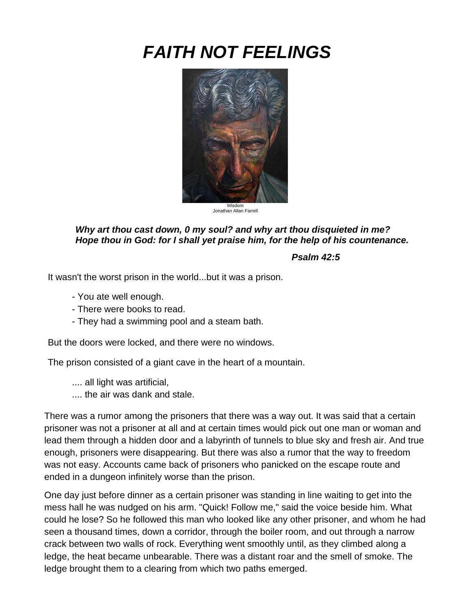# *FAITH NOT FEELINGS*



### *Why art thou cast down, 0 my soul? and why art thou disquieted in me? Hope thou in God: for I shall yet praise him, for the help of his countenance.*

#### *Psalm 42:5*

It wasn't the worst prison in the world...but it was a prison.

- You ate well enough.
- There were books to read.
- They had a swimming pool and a steam bath.

But the doors were locked, and there were no windows.

The prison consisted of a giant cave in the heart of a mountain.

- .... all light was artificial,
- .... the air was dank and stale.

There was a rumor among the prisoners that there was a way out. It was said that a certain prisoner was not a prisoner at all and at certain times would pick out one man or woman and lead them through a hidden door and a labyrinth of tunnels to blue sky and fresh air. And true enough, prisoners were disappearing. But there was also a rumor that the way to freedom was not easy. Accounts came back of prisoners who panicked on the escape route and ended in a dungeon infinitely worse than the prison.

One day just before dinner as a certain prisoner was standing in line waiting to get into the mess hall he was nudged on his arm. "Quick! Follow me," said the voice beside him. What could he lose? So he followed this man who looked like any other prisoner, and whom he had seen a thousand times, down a corridor, through the boiler room, and out through a narrow crack between two walls of rock. Everything went smoothly until, as they climbed along a ledge, the heat became unbearable. There was a distant roar and the smell of smoke. The ledge brought them to a clearing from which two paths emerged.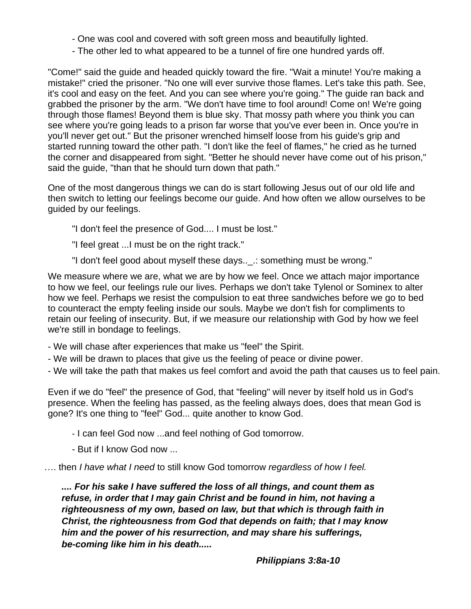- One was cool and covered with soft green moss and beautifully lighted.
- The other led to what appeared to be a tunnel of fire one hundred yards off.

"Come!" said the guide and headed quickly toward the fire. "Wait a minute! You're making a mistake!" cried the prisoner. "No one will ever survive those flames. Let's take this path. See, it's cool and easy on the feet. And you can see where you're going." The guide ran back and grabbed the prisoner by the arm. "We don't have time to fool around! Come on! We're going through those flames! Beyond them is blue sky. That mossy path where you think you can see where you're going leads to a prison far worse that you've ever been in. Once you're in you'll never get out." But the prisoner wrenched himself loose from his guide's grip and started running toward the other path. "I don't like the feel of flames," he cried as he turned the corner and disappeared from sight. "Better he should never have come out of his prison," said the guide, "than that he should turn down that path."

One of the most dangerous things we can do is start following Jesus out of our old life and then switch to letting our feelings become our guide. And how often we allow ourselves to be guided by our feelings.

- "I don't feel the presence of God.... I must be lost."
- "I feel great ...I must be on the right track."
- "I don't feel good about myself these days..\_.: something must be wrong."

We measure where we are, what we are by how we feel. Once we attach major importance to how we feel, our feelings rule our lives. Perhaps we don't take Tylenol or Sominex to alter how we feel. Perhaps we resist the compulsion to eat three sandwiches before we go to bed to counteract the empty feeling inside our souls. Maybe we don't fish for compliments to retain our feeling of insecurity. But, if we measure our relationship with God by how we feel we're still in bondage to feelings.

- We will chase after experiences that make us "feel" the Spirit.
- We will be drawn to places that give us the feeling of peace or divine power.
- We will take the path that makes us feel comfort and avoid the path that causes us to feel pain.

Even if we do "feel" the presence of God, that "feeling" will never by itself hold us in God's presence. When the feeling has passed, as the feeling always does, does that mean God is gone? It's one thing to "feel" God... quite another to know God.

- I can feel God now ...and feel nothing of God tomorrow.
- But if I know God now ...

…. then *I have what I need* to still know God tomorrow *regardless of how I feel.*

*.... For his sake I have suffered the loss of all things, and count them as refuse, in order that I may gain Christ and be found in him, not having a righteousness of my own, based on law, but that which is through faith in Christ, the righteousness from God that depends on faith; that I may know him and the power of his resurrection, and may share his sufferings, be-coming like him in his death.....*

*Philippians 3:8a-10*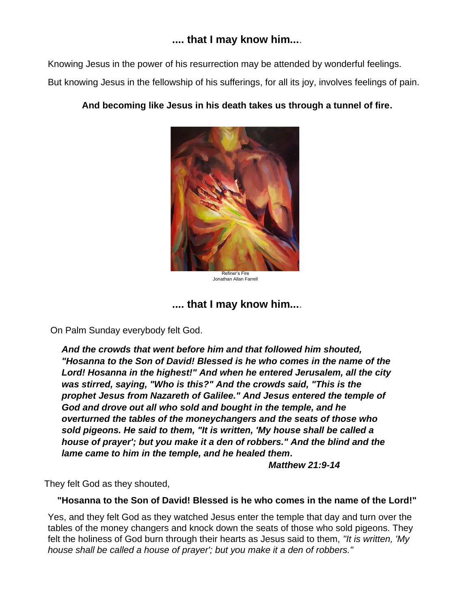## **.... that I may know him...**.

Knowing Jesus in the power of his resurrection may be attended by wonderful feelings.

But knowing Jesus in the fellowship of his sufferings, for all its joy, involves feelings of pain.

### **And becoming like Jesus in his death takes us through a tunnel of fire.**



Refiner's Fire Jonathan Allan Farrell

## **.... that I may know him...**.

On Palm Sunday everybody felt God.

*And the crowds that went before him and that followed him shouted, "Hosanna to the Son of David! Blessed is he who comes in the name of the Lord! Hosanna in the highest!" And when he entered Jerusalem, all the city was stirred, saying, "Who is this?" And the crowds said, "This is the prophet Jesus from Nazareth of Galilee." And Jesus entered the temple of God and drove out all who sold and bought in the temple, and he overturned the tables of the moneychangers and the seats of those who sold pigeons. He said to them, "It is written, 'My house shall be called a house of prayer'; but you make it a den of robbers." And the blind and the lame came to him in the temple, and he healed them***.**

*Matthew 21:9-14*

They felt God as they shouted,

### **"Hosanna to the Son of David! Blessed is he who comes in the name of the Lord!"**

Yes, and they felt God as they watched Jesus enter the temple that day and turn over the tables of the money changers and knock down the seats of those who sold pigeons. They felt the holiness of God burn through their hearts as Jesus said to them, *"It is written, 'My house shall be called a house of prayer'; but you make it a den of robbers."*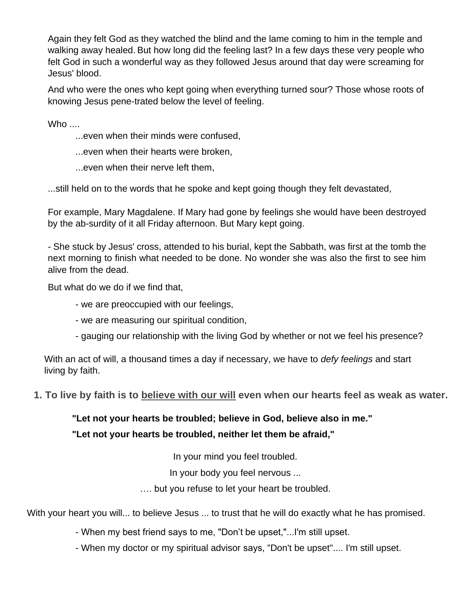Again they felt God as they watched the blind and the lame coming to him in the temple and walking away healed. But how long did the feeling last? In a few days these very people who felt God in such a wonderful way as they followed Jesus around that day were screaming for Jesus' blood.

And who were the ones who kept going when everything turned sour? Those whose roots of knowing Jesus pene-trated below the level of feeling.

Who  $\ldots$ 

- ...even when their minds were confused,
- ...even when their hearts were broken,
- ...even when their nerve left them,

...still held on to the words that he spoke and kept going though they felt devastated,

For example, Mary Magdalene. If Mary had gone by feelings she would have been destroyed by the ab-surdity of it all Friday afternoon. But Mary kept going.

- She stuck by Jesus' cross, attended to his burial, kept the Sabbath, was first at the tomb the next morning to finish what needed to be done. No wonder she was also the first to see him alive from the dead.

But what do we do if we find that,

- we are preoccupied with our feelings,
- we are measuring our spiritual condition,
- gauging our relationship with the living God by whether or not we feel his presence?

With an act of will, a thousand times a day if necessary, we have to *defy feelings* and start living by faith.

### **1. To live by faith is to believe with our will even when our hearts feel as weak as water.**

## **"Let not your hearts be troubled; believe in God, believe also in me."**

### **"Let not your hearts be troubled, neither let them be afraid,"**

In your mind you feel troubled.

In your body you feel nervous ...

…. but you refuse to let your heart be troubled.

With your heart you will... to believe Jesus ... to trust that he will do exactly what he has promised.

- When my best friend says to me, "Don't be upset,"...I'm still upset.
- When my doctor or my spiritual advisor says, "Don't be upset".... I'm still upset.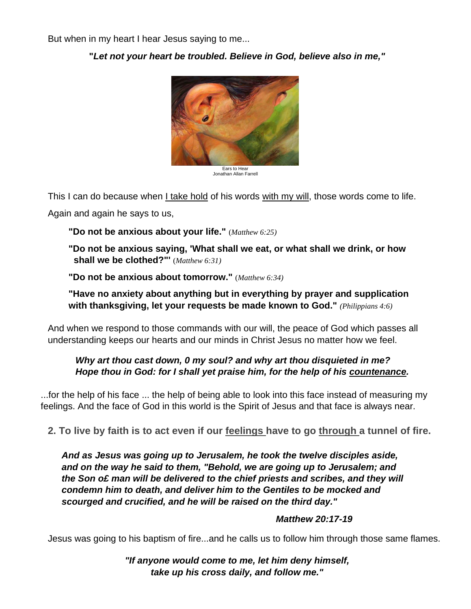But when in my heart I hear Jesus saying to me...

**"***Let not your heart be troubled. Believe in God, believe also in me,"*



Ears to Hear Jonathan Allan Farrell

This I can do because when I take hold of his words with my will, those words come to life.

Again and again he says to us,

**"Do not be anxious about your life."** (*Matthew 6:25)*

**"Do not be anxious saying, 'What shall we eat, or what shall we drink, or how shall we be clothed?"'** (*Matthew 6:31)*

**"Do not be anxious about tomorrow."** (*Matthew 6:34)*

**"Have no anxiety about anything but in everything by prayer and supplication with thanksgiving, let your requests be made known to God."** *(Philippians 4:6)*

And when we respond to those commands with our will, the peace of God which passes all understanding keeps our hearts and our minds in Christ Jesus no matter how we feel.

### *Why art thou cast down, 0 my soul? and why art thou disquieted in me? Hope thou in God: for I shall yet praise him, for the help of his countenance.*

...for the help of his face ... the help of being able to look into this face instead of measuring my feelings. And the face of God in this world is the Spirit of Jesus and that face is always near.

**2. To live by faith is to act even if our feelings have to go through a tunnel of fire.**

*And as Jesus was going up to Jerusalem, he took the twelve disciples aside, and on the way he said to them, "Behold, we are going up to Jerusalem; and the Son o£ man will be delivered to the chief priests and scribes, and they will condemn him to death, and deliver him to the Gentiles to be mocked and scourged and crucified, and he will be raised on the third day."*

### *Matthew 20:17-19*

Jesus was going to his baptism of fire...and he calls us to follow him through those same flames.

*"If anyone would come to me, let him deny himself, take up his cross daily, and follow me."*